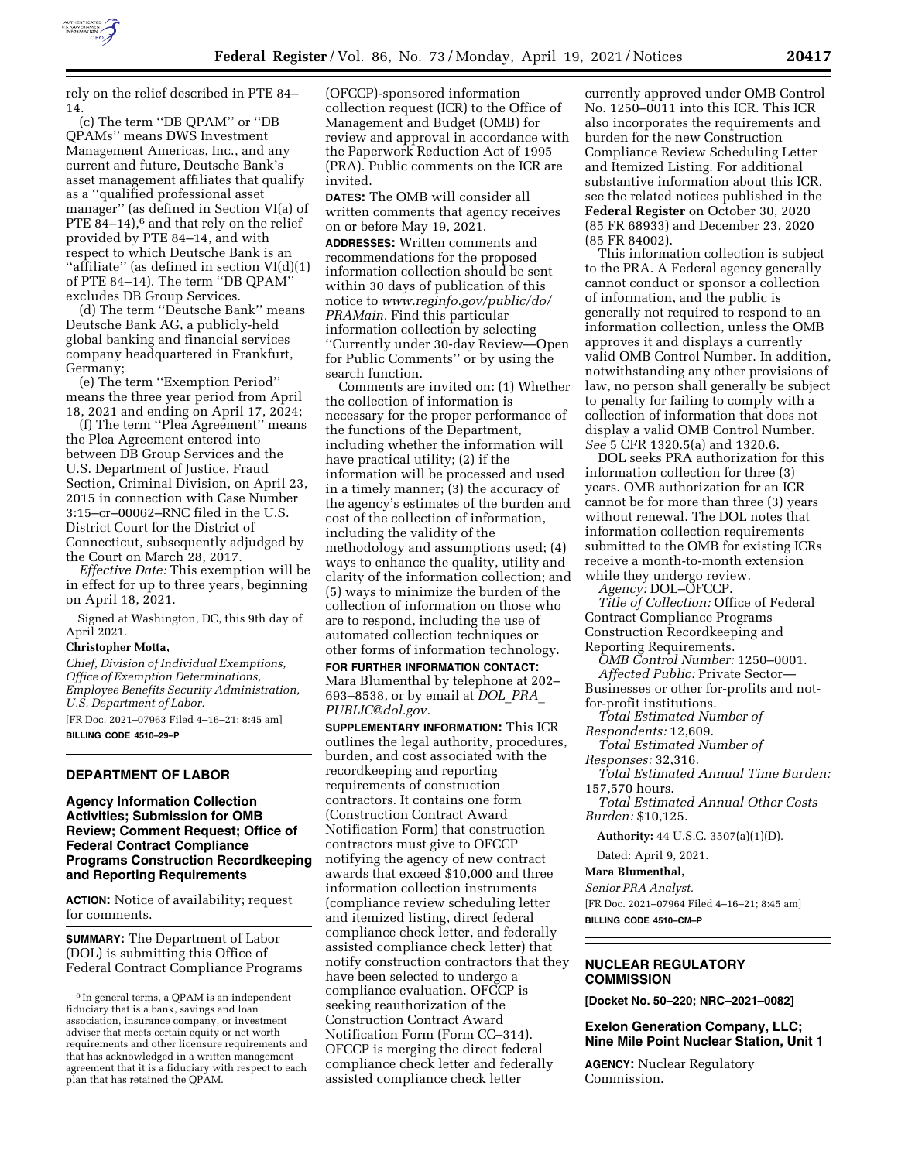

rely on the relief described in PTE 84– 14.

(c) The term ''DB QPAM'' or ''DB QPAMs'' means DWS Investment Management Americas, Inc., and any current and future, Deutsche Bank's asset management affiliates that qualify as a ''qualified professional asset manager'' (as defined in Section VI(a) of PTE 84 $-14$ ,<sup>6</sup> and that rely on the relief provided by PTE 84–14, and with respect to which Deutsche Bank is an ''affiliate'' (as defined in section VI(d)(1) of PTE 84–14). The term ''DB QPAM'' excludes DB Group Services.

(d) The term ''Deutsche Bank'' means Deutsche Bank AG, a publicly-held global banking and financial services company headquartered in Frankfurt, Germany;

(e) The term ''Exemption Period'' means the three year period from April 18, 2021 and ending on April 17, 2024;

(f) The term ''Plea Agreement'' means the Plea Agreement entered into between DB Group Services and the U.S. Department of Justice, Fraud Section, Criminal Division, on April 23, 2015 in connection with Case Number 3:15–cr–00062–RNC filed in the U.S. District Court for the District of Connecticut, subsequently adjudged by the Court on March 28, 2017.

*Effective Date:* This exemption will be in effect for up to three years, beginning on April 18, 2021.

Signed at Washington, DC, this 9th day of April 2021.

#### **Christopher Motta,**

*Chief, Division of Individual Exemptions, Office of Exemption Determinations, Employee Benefits Security Administration, U.S. Department of Labor.* 

[FR Doc. 2021–07963 Filed 4–16–21; 8:45 am] **BILLING CODE 4510–29–P** 

# **DEPARTMENT OF LABOR**

### **Agency Information Collection Activities; Submission for OMB Review; Comment Request; Office of Federal Contract Compliance Programs Construction Recordkeeping and Reporting Requirements**

**ACTION:** Notice of availability; request for comments.

**SUMMARY:** The Department of Labor (DOL) is submitting this Office of Federal Contract Compliance Programs (OFCCP)-sponsored information collection request (ICR) to the Office of Management and Budget (OMB) for review and approval in accordance with the Paperwork Reduction Act of 1995 (PRA). Public comments on the ICR are invited.

**DATES:** The OMB will consider all written comments that agency receives on or before May 19, 2021.

**ADDRESSES:** Written comments and recommendations for the proposed information collection should be sent within 30 days of publication of this notice to *[www.reginfo.gov/public/do/](http://www.reginfo.gov/public/do/PRAMain) [PRAMain.](http://www.reginfo.gov/public/do/PRAMain)* Find this particular information collection by selecting ''Currently under 30-day Review—Open for Public Comments'' or by using the search function.

Comments are invited on: (1) Whether the collection of information is necessary for the proper performance of the functions of the Department, including whether the information will have practical utility; (2) if the information will be processed and used in a timely manner; (3) the accuracy of the agency's estimates of the burden and cost of the collection of information, including the validity of the methodology and assumptions used; (4) ways to enhance the quality, utility and clarity of the information collection; and (5) ways to minimize the burden of the collection of information on those who are to respond, including the use of automated collection techniques or other forms of information technology.

**FOR FURTHER INFORMATION CONTACT:**  Mara Blumenthal by telephone at 202– 693–8538, or by email at *[DOL](mailto:DOL_PRA_PUBLIC@dol.gov)*\_*PRA*\_ *[PUBLIC@dol.gov.](mailto:DOL_PRA_PUBLIC@dol.gov)* 

**SUPPLEMENTARY INFORMATION:** This ICR outlines the legal authority, procedures, burden, and cost associated with the recordkeeping and reporting requirements of construction contractors. It contains one form (Construction Contract Award Notification Form) that construction contractors must give to OFCCP notifying the agency of new contract awards that exceed \$10,000 and three information collection instruments (compliance review scheduling letter and itemized listing, direct federal compliance check letter, and federally assisted compliance check letter) that notify construction contractors that they have been selected to undergo a compliance evaluation. OFCCP is seeking reauthorization of the Construction Contract Award Notification Form (Form CC–314). OFCCP is merging the direct federal compliance check letter and federally assisted compliance check letter

currently approved under OMB Control No. 1250–0011 into this ICR. This ICR also incorporates the requirements and burden for the new Construction Compliance Review Scheduling Letter and Itemized Listing. For additional substantive information about this ICR, see the related notices published in the **Federal Register** on October 30, 2020 (85 FR 68933) and December 23, 2020 (85 FR 84002).

This information collection is subject to the PRA. A Federal agency generally cannot conduct or sponsor a collection of information, and the public is generally not required to respond to an information collection, unless the OMB approves it and displays a currently valid OMB Control Number. In addition, notwithstanding any other provisions of law, no person shall generally be subject to penalty for failing to comply with a collection of information that does not display a valid OMB Control Number. *See* 5 CFR 1320.5(a) and 1320.6.

DOL seeks PRA authorization for this information collection for three (3) years. OMB authorization for an ICR cannot be for more than three (3) years without renewal. The DOL notes that information collection requirements submitted to the OMB for existing ICRs receive a month-to-month extension while they undergo review.

*Agency:* DOL–OFCCP.

*Title of Collection:* Office of Federal Contract Compliance Programs Construction Recordkeeping and Reporting Requirements.

*OMB Control Number:* 1250–0001. *Affected Public:* Private Sector—

Businesses or other for-profits and notfor-profit institutions.

*Total Estimated Number of* 

*Respondents:* 12,609.

*Total Estimated Number of* 

*Responses:* 32,316.

*Total Estimated Annual Time Burden:*  157,570 hours.

*Total Estimated Annual Other Costs Burden:* \$10,125.

**Authority:** 44 U.S.C. 3507(a)(1)(D).

Dated: April 9, 2021.

**Mara Blumenthal,** 

*Senior PRA Analyst.* 

[FR Doc. 2021–07964 Filed 4–16–21; 8:45 am] **BILLING CODE 4510–CM–P** 

### **NUCLEAR REGULATORY COMMISSION**

**[Docket No. 50–220; NRC–2021–0082]** 

# **Exelon Generation Company, LLC; Nine Mile Point Nuclear Station, Unit 1**

**AGENCY:** Nuclear Regulatory Commission.

<sup>6</sup> In general terms, a QPAM is an independent fiduciary that is a bank, savings and loan association, insurance company, or investment adviser that meets certain equity or net worth requirements and other licensure requirements and that has acknowledged in a written management agreement that it is a fiduciary with respect to each plan that has retained the QPAM.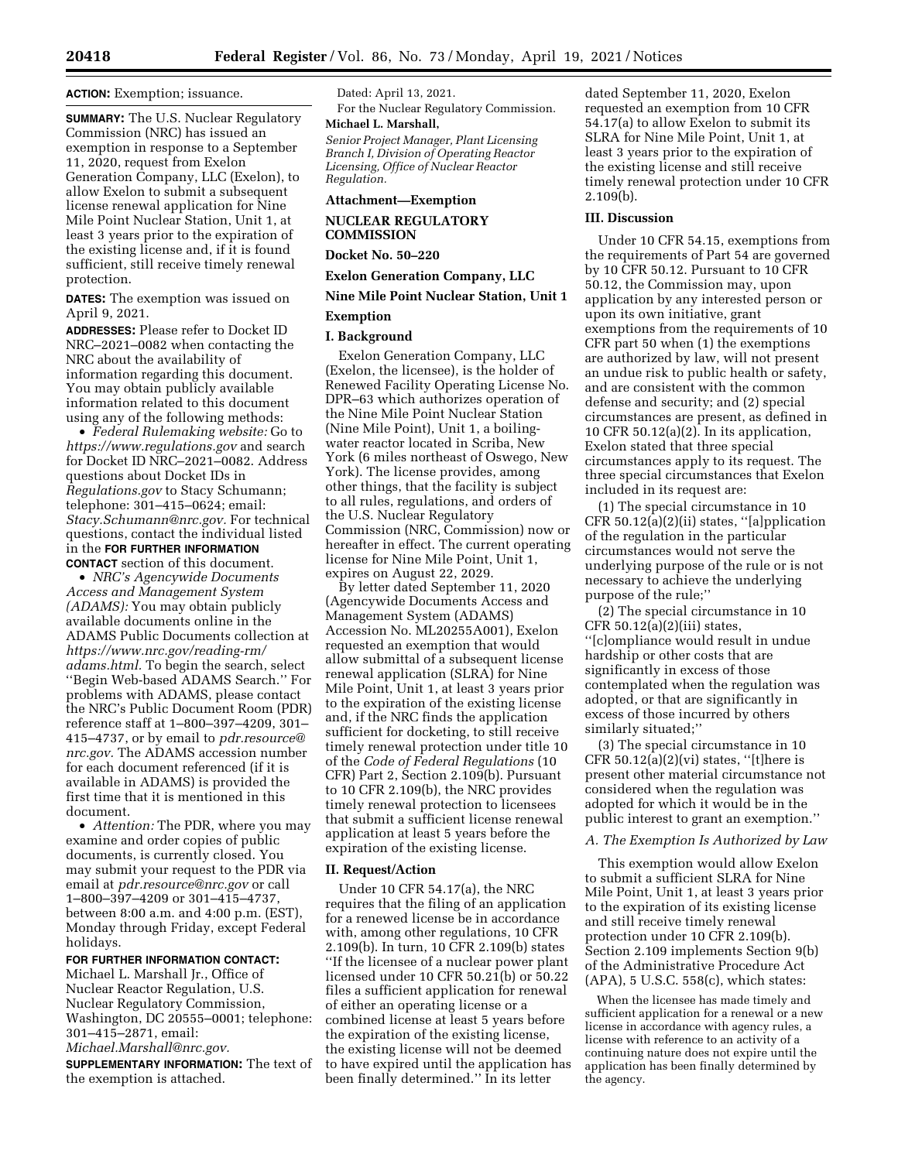### **ACTION:** Exemption; issuance.

**SUMMARY:** The U.S. Nuclear Regulatory Commission (NRC) has issued an exemption in response to a September 11, 2020, request from Exelon Generation Company, LLC (Exelon), to allow Exelon to submit a subsequent license renewal application for Nine Mile Point Nuclear Station, Unit 1, at least 3 years prior to the expiration of the existing license and, if it is found sufficient, still receive timely renewal protection.

**DATES:** The exemption was issued on April 9, 2021.

**ADDRESSES:** Please refer to Docket ID NRC–2021–0082 when contacting the NRC about the availability of information regarding this document. You may obtain publicly available information related to this document using any of the following methods:

• *Federal Rulemaking website:* Go to *<https://www.regulations.gov>* and search for Docket ID NRC–2021–0082. Address questions about Docket IDs in *Regulations.gov* to Stacy Schumann; telephone: 301–415–0624; email: *[Stacy.Schumann@nrc.gov.](mailto:Stacy.Schumann@nrc.gov)* For technical questions, contact the individual listed in the **FOR FURTHER INFORMATION CONTACT** section of this document.

• *NRC's Agencywide Documents Access and Management System (ADAMS):* You may obtain publicly available documents online in the ADAMS Public Documents collection at *[https://www.nrc.gov/reading-rm/](https://www.nrc.gov/reading-rm/adams.html)  [adams.html.](https://www.nrc.gov/reading-rm/adams.html)* To begin the search, select ''Begin Web-based ADAMS Search.'' For problems with ADAMS, please contact the NRC's Public Document Room (PDR) reference staff at 1–800–397–4209, 301– 415–4737, or by email to *[pdr.resource@](mailto:pdr.resource@nrc.gov) [nrc.gov.](mailto:pdr.resource@nrc.gov)* The ADAMS accession number for each document referenced (if it is available in ADAMS) is provided the first time that it is mentioned in this document.

• *Attention:* The PDR, where you may examine and order copies of public documents, is currently closed. You may submit your request to the PDR via email at *[pdr.resource@nrc.gov](mailto:pdr.resource@nrc.gov)* or call 1–800–397–4209 or 301–415–4737, between 8:00 a.m. and 4:00 p.m. (EST), Monday through Friday, except Federal holidays.

# **FOR FURTHER INFORMATION CONTACT:**

Michael L. Marshall Jr., Office of Nuclear Reactor Regulation, U.S. Nuclear Regulatory Commission, Washington, DC 20555–0001; telephone: 301–415–2871, email:

*[Michael.Marshall@nrc.gov.](mailto:Michael.Marshall@nrc.gov)* 

**SUPPLEMENTARY INFORMATION:** The text of the exemption is attached.

Dated: April 13, 2021. For the Nuclear Regulatory Commission.

# **Michael L. Marshall,**

*Senior Project Manager, Plant Licensing Branch I, Division of Operating Reactor Licensing, Office of Nuclear Reactor Regulation.* 

### **Attachment—Exemption**

### **NUCLEAR REGULATORY COMMISSION**

**Docket No. 50–220** 

**Exelon Generation Company, LLC** 

# **Nine Mile Point Nuclear Station, Unit 1**

#### **Exemption**

### **I. Background**

Exelon Generation Company, LLC (Exelon, the licensee), is the holder of Renewed Facility Operating License No. DPR–63 which authorizes operation of the Nine Mile Point Nuclear Station (Nine Mile Point), Unit 1, a boilingwater reactor located in Scriba, New York (6 miles northeast of Oswego, New York). The license provides, among other things, that the facility is subject to all rules, regulations, and orders of the U.S. Nuclear Regulatory Commission (NRC, Commission) now or hereafter in effect. The current operating license for Nine Mile Point, Unit 1, expires on August 22, 2029.

By letter dated September 11, 2020 (Agencywide Documents Access and Management System (ADAMS) Accession No. ML20255A001), Exelon requested an exemption that would allow submittal of a subsequent license renewal application (SLRA) for Nine Mile Point, Unit 1, at least 3 years prior to the expiration of the existing license and, if the NRC finds the application sufficient for docketing, to still receive timely renewal protection under title 10 of the *Code of Federal Regulations* (10 CFR) Part 2, Section 2.109(b). Pursuant to 10 CFR 2.109(b), the NRC provides timely renewal protection to licensees that submit a sufficient license renewal application at least 5 years before the expiration of the existing license.

#### **II. Request/Action**

Under 10 CFR 54.17(a), the NRC requires that the filing of an application for a renewed license be in accordance with, among other regulations, 10 CFR 2.109(b). In turn, 10 CFR 2.109(b) states ''If the licensee of a nuclear power plant licensed under 10 CFR 50.21(b) or 50.22 files a sufficient application for renewal of either an operating license or a combined license at least 5 years before the expiration of the existing license, the existing license will not be deemed to have expired until the application has been finally determined.'' In its letter

dated September 11, 2020, Exelon requested an exemption from 10 CFR 54.17(a) to allow Exelon to submit its SLRA for Nine Mile Point, Unit 1, at least 3 years prior to the expiration of the existing license and still receive timely renewal protection under 10 CFR 2.109(b).

#### **III. Discussion**

Under 10 CFR 54.15, exemptions from the requirements of Part 54 are governed by 10 CFR 50.12. Pursuant to 10 CFR 50.12, the Commission may, upon application by any interested person or upon its own initiative, grant exemptions from the requirements of 10 CFR part 50 when (1) the exemptions are authorized by law, will not present an undue risk to public health or safety, and are consistent with the common defense and security; and (2) special circumstances are present, as defined in 10 CFR 50.12(a)(2). In its application, Exelon stated that three special circumstances apply to its request. The three special circumstances that Exelon included in its request are:

(1) The special circumstance in 10 CFR 50.12(a)(2)(ii) states, ''[a]pplication of the regulation in the particular circumstances would not serve the underlying purpose of the rule or is not necessary to achieve the underlying purpose of the rule;''

(2) The special circumstance in 10 CFR  $50.12(a)(2)(iii)$  states, ''[c]ompliance would result in undue hardship or other costs that are significantly in excess of those contemplated when the regulation was adopted, or that are significantly in excess of those incurred by others similarly situated;''

(3) The special circumstance in 10 CFR  $50.12(a)(2)(vi)$  states, "[t]here is present other material circumstance not considered when the regulation was adopted for which it would be in the public interest to grant an exemption.''

#### *A. The Exemption Is Authorized by Law*

This exemption would allow Exelon to submit a sufficient SLRA for Nine Mile Point, Unit 1, at least 3 years prior to the expiration of its existing license and still receive timely renewal protection under 10 CFR 2.109(b). Section 2.109 implements Section 9(b) of the Administrative Procedure Act (APA), 5 U.S.C. 558(c), which states:

When the licensee has made timely and sufficient application for a renewal or a new license in accordance with agency rules, a license with reference to an activity of a continuing nature does not expire until the application has been finally determined by the agency.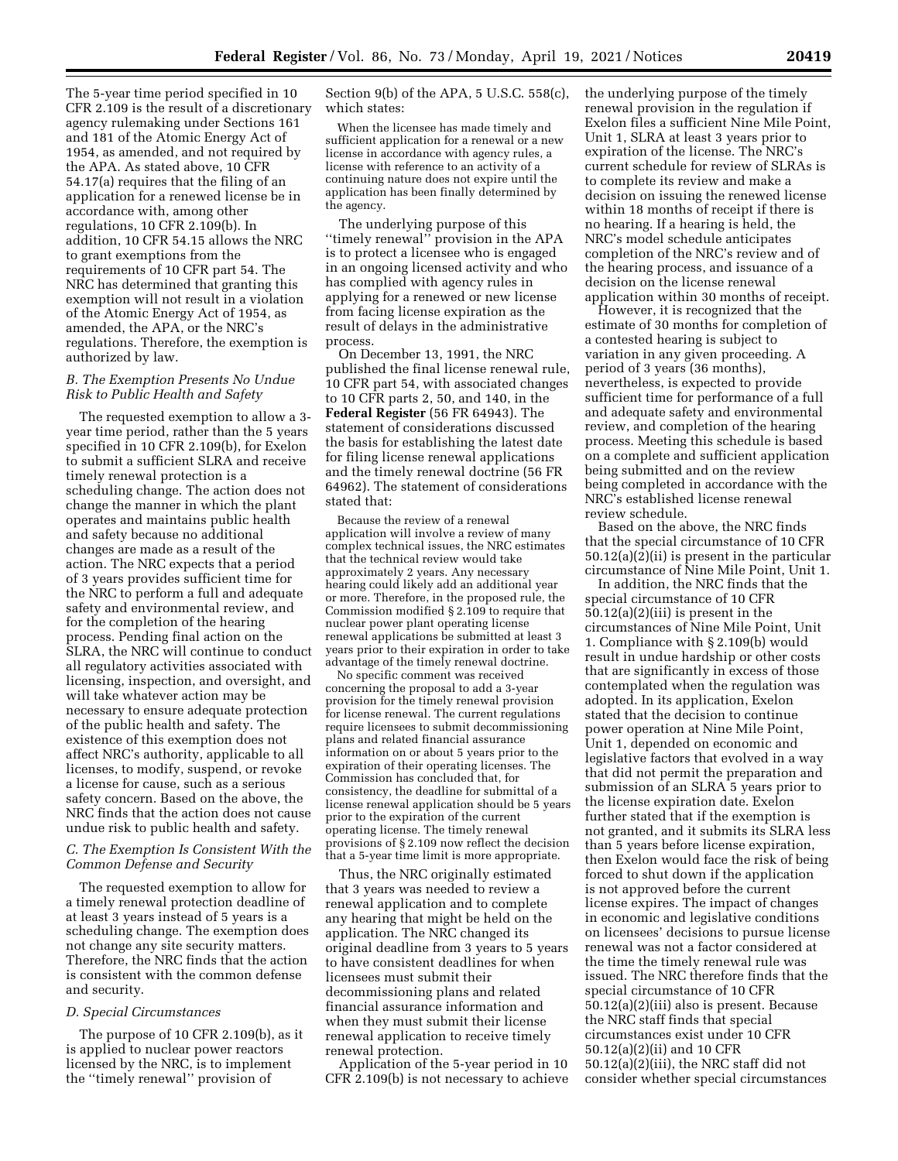The 5-year time period specified in 10 CFR 2.109 is the result of a discretionary agency rulemaking under Sections 161 and 181 of the Atomic Energy Act of 1954, as amended, and not required by the APA. As stated above, 10 CFR 54.17(a) requires that the filing of an application for a renewed license be in accordance with, among other regulations, 10 CFR 2.109(b). In addition, 10 CFR 54.15 allows the NRC to grant exemptions from the requirements of 10 CFR part 54. The NRC has determined that granting this exemption will not result in a violation of the Atomic Energy Act of 1954, as amended, the APA, or the NRC's regulations. Therefore, the exemption is authorized by law.

### *B. The Exemption Presents No Undue Risk to Public Health and Safety*

The requested exemption to allow a 3 year time period, rather than the 5 years specified in 10 CFR 2.109(b), for Exelon to submit a sufficient SLRA and receive timely renewal protection is a scheduling change. The action does not change the manner in which the plant operates and maintains public health and safety because no additional changes are made as a result of the action. The NRC expects that a period of 3 years provides sufficient time for the NRC to perform a full and adequate safety and environmental review, and for the completion of the hearing process. Pending final action on the SLRA, the NRC will continue to conduct all regulatory activities associated with licensing, inspection, and oversight, and will take whatever action may be necessary to ensure adequate protection of the public health and safety. The existence of this exemption does not affect NRC's authority, applicable to all licenses, to modify, suspend, or revoke a license for cause, such as a serious safety concern. Based on the above, the NRC finds that the action does not cause undue risk to public health and safety.

### *C. The Exemption Is Consistent With the Common Defense and Security*

The requested exemption to allow for a timely renewal protection deadline of at least 3 years instead of 5 years is a scheduling change. The exemption does not change any site security matters. Therefore, the NRC finds that the action is consistent with the common defense and security.

### *D. Special Circumstances*

The purpose of 10 CFR 2.109(b), as it is applied to nuclear power reactors licensed by the NRC, is to implement the ''timely renewal'' provision of

Section 9(b) of the APA, 5 U.S.C. 558(c), which states:

When the licensee has made timely and sufficient application for a renewal or a new license in accordance with agency rules, a license with reference to an activity of a continuing nature does not expire until the application has been finally determined by the agency.

The underlying purpose of this ''timely renewal'' provision in the APA is to protect a licensee who is engaged in an ongoing licensed activity and who has complied with agency rules in applying for a renewed or new license from facing license expiration as the result of delays in the administrative process.

On December 13, 1991, the NRC published the final license renewal rule, 10 CFR part 54, with associated changes to 10 CFR parts 2, 50, and 140, in the **Federal Register** (56 FR 64943). The statement of considerations discussed the basis for establishing the latest date for filing license renewal applications and the timely renewal doctrine (56 FR 64962). The statement of considerations stated that:

Because the review of a renewal application will involve a review of many complex technical issues, the NRC estimates that the technical review would take approximately 2 years. Any necessary hearing could likely add an additional year or more. Therefore, in the proposed rule, the Commission modified § 2.109 to require that nuclear power plant operating license renewal applications be submitted at least 3 years prior to their expiration in order to take advantage of the timely renewal doctrine.

No specific comment was received concerning the proposal to add a 3-year provision for the timely renewal provision for license renewal. The current regulations require licensees to submit decommissioning plans and related financial assurance information on or about 5 years prior to the expiration of their operating licenses. The Commission has concluded that, for consistency, the deadline for submittal of a license renewal application should be 5 years prior to the expiration of the current operating license. The timely renewal provisions of § 2.109 now reflect the decision that a 5-year time limit is more appropriate.

Thus, the NRC originally estimated that 3 years was needed to review a renewal application and to complete any hearing that might be held on the application. The NRC changed its original deadline from 3 years to 5 years to have consistent deadlines for when licensees must submit their decommissioning plans and related financial assurance information and when they must submit their license renewal application to receive timely renewal protection.

Application of the 5-year period in 10 CFR 2.109(b) is not necessary to achieve the underlying purpose of the timely renewal provision in the regulation if Exelon files a sufficient Nine Mile Point, Unit 1, SLRA at least 3 years prior to expiration of the license. The NRC's current schedule for review of SLRAs is to complete its review and make a decision on issuing the renewed license within 18 months of receipt if there is no hearing. If a hearing is held, the NRC's model schedule anticipates completion of the NRC's review and of the hearing process, and issuance of a decision on the license renewal application within 30 months of receipt.

However, it is recognized that the estimate of 30 months for completion of a contested hearing is subject to variation in any given proceeding. A period of 3 years (36 months), nevertheless, is expected to provide sufficient time for performance of a full and adequate safety and environmental review, and completion of the hearing process. Meeting this schedule is based on a complete and sufficient application being submitted and on the review being completed in accordance with the NRC's established license renewal review schedule.

Based on the above, the NRC finds that the special circumstance of 10 CFR 50.12(a)(2)(ii) is present in the particular circumstance of Nine Mile Point, Unit 1.

In addition, the NRC finds that the special circumstance of 10 CFR 50.12(a)(2)(iii) is present in the circumstances of Nine Mile Point, Unit 1. Compliance with § 2.109(b) would result in undue hardship or other costs that are significantly in excess of those contemplated when the regulation was adopted. In its application, Exelon stated that the decision to continue power operation at Nine Mile Point, Unit 1, depended on economic and legislative factors that evolved in a way that did not permit the preparation and submission of an SLRA 5 years prior to the license expiration date. Exelon further stated that if the exemption is not granted, and it submits its SLRA less than 5 years before license expiration, then Exelon would face the risk of being forced to shut down if the application is not approved before the current license expires. The impact of changes in economic and legislative conditions on licensees' decisions to pursue license renewal was not a factor considered at the time the timely renewal rule was issued. The NRC therefore finds that the special circumstance of 10 CFR 50.12(a)(2)(iii) also is present. Because the NRC staff finds that special circumstances exist under 10 CFR 50.12(a)(2)(ii) and 10 CFR 50.12(a)(2)(iii), the NRC staff did not consider whether special circumstances